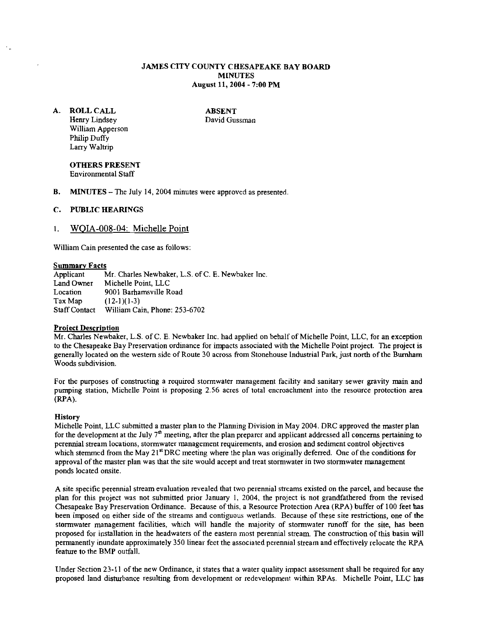# JAMES CITY COUNTY CHESAPEAKE BAY BOARD **MINUTES** August 11,2004 - 7:00 PM

A. ROLL CALL Henry Lindsey William Apperson Philip Duffy Larry Waltrip

ABSENT David Gussman

OTHERS PRESENT Environmental Staff

B. MINUTES - The July 14, 2004 minutes were approved as presented.

#### C. PUBLIC HEARINGS

#### I. **WOIA-008-04:** Michelle Point

William Cain presented the case as follows:

**Summary Facts**<br>Applicant Applicant Mr. Charles Newbaker, L.S. of C. E. Newbaker Inc.<br>Land Owner Michelle Point, LLC Land Owner Michelle Point, LLC<br>Location 9001 Barhamsville R Location 9001 Barhams ville Road<br>Tax Map  $(12-1)(1-3)$  $(12-1)(1-3)$ Staff Contact William Cain, Phone: 253-6702

#### **Project Description**

Mr. Charles Newbaker, L.S. of C. E. Newbaker Inc. had applied on behalf of Michelle Point, LLC, for an exception to the Chesapeake Bay Preservation ordinance for impacts associated with the Michelle Point project. The project is generally located on the western side of Route 30 across from Stonehouse lndustrral Park, just north of the Bumham Woods subdivision.

For the purposes of constructing a required stormwater management facility and sanitary sewer gravity main and pumping station, Michelle Point is proposing 2.56 acres of total encroachment into the resource protection area (RPA).

#### **History**

Michelle Point, LLC submitted a master plan to the Planning Division in May 2004. DRC approved the master plan for the development at the July 7<sup>th</sup> meeting, after the plan preparer and applicant addressed all concerns pertaining to perennial stream locations, storrnwater management requirements, and erosion and sediment control objectives which stemmed from the May 21<sup>st</sup> DRC meeting where the plan was originally deferred. One of the conditions for approval of the master plan was that the site would accept and treat stormwater in two stomwater management ponds located onsite.

A site specific perennial stream evaluation revealed that two perennial strrarns existed on the parcel, and because the plan for this project was not submitted prior January 1, 2004, the project is not grandfathered from the revised Chesapeake Bay Preservation Ordinance. Because of this, a Resource Protection Area (RPA) buffer of 100 feet has been imposed on either side of the streams and contiguous wetlands. Because of these site restrictions, one of the stomwater management facilities, which will handle the majority of stomwater runoff for the site, has been proposed for installation in the headwaters of the eastern most perennial stream. The construction of this basin will permanently inundate approximately 350 linear feet the associated perennial stream and effectively relocate the RPA feature to the BMP outfall.

Under Section 23-11 of the new Ordinance, if states that a water quality impact assessment shall be required for any proposed land disturbance resulting from development or redevelopment within RPAs. Michelle Point, LLC has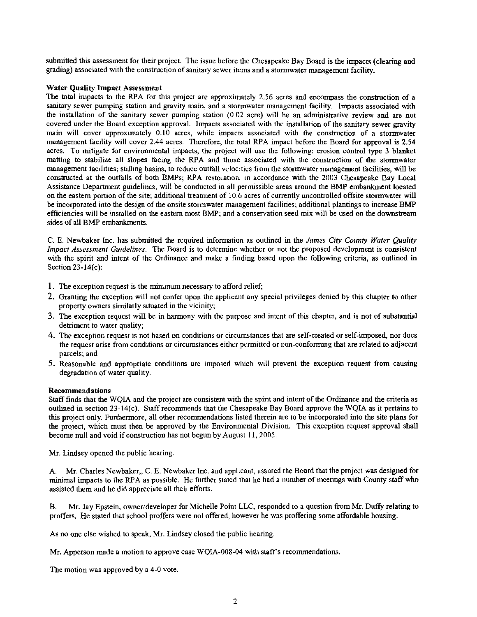submitted this assessment for their project. The issue before the Chesapeake Bay Board is the impacts (clearing and grading) associated with the construction of sanitary sewer items and a stormwater management facility.

# Water Quality Impact Assessment

The total impacts to the RPA for this project are approximately  $2.56$  acres and encompass the construction of a sanitary sewer pumping station and gravity main, and a stormwater management facility. Impacts associated with the installation of the sanitary sewer pumping station (0.02 acre) will be an administrative review and are not covered under the Board exception approval. Impacts associated with the installation of the sanitary sewer gravity main will cover approximately 0.10 acres, while impacts associated with the construction of a stormwater management facility will cover 2.44 acres. Therefore, the total RPA impact before the Board for approval is 2.54 acres. To mitigate for environmental impacts, the project will use the following: erosion control type 3 blanket matting to stabilize all slopes facing the RPA and those associated with the construction of the stomwater management facilities; stilling basins, to reduce outfall velocities from the stormwater management facilities, will he constructed at the outfalls of both BMPs; RPA restoration. in accordance with the 2003 Chesapeake Bay Local Assistance Department guidelines, will he conducted in all permissible areas around the BMP embankment located on the eastem portion of the site; additional treatment of 10.6 acres of currently uncontrolled offsite stomwater will he incorporated into the design of the onsite stormwater management facilities; additional plantings to increase **BMP**  efficiencies will be installed on the eastern most BMP; and a conservation seed mix will be used on the downstream sides of all BMP embankments.

C. E. Newhaker hc. has submitted the required information as outllned in the *James City Counfy Water Qualify Impact Assessment Guidelines.* The Board is to determine whether or not the proposed development is consistent with the spirit and intent of the Ordinance and make a finding based upon the following criteria, as outlined in Section 23-14(c):

- 1. The exception request is the minimum necessary to afford relief;
- 2. Granting the exception will not confer upon the applicant any special privileges denied by this chapter to other property owners similarly situated in the vicinity;
- 3. The exception request wilI be in harmony with the purpose and intent of this chapter, and is not of substantial detriment to water quality;
- 4. The exception request is not based on conditions or circumstances that are self-created or self-imposed, nor does the request arise from conditions or circumstances either permitted or non-conforming that are related to adjacent parcels; and
- 5. Reasonable and appropriate conditions are imposed which will prevent the exception request from causing degradation of water quality.

# Recommendations

Staff finds that the WQlA and the project are consistent with the spirit and intent of the Ordinance and the criteria as outlined in section 23-14(c). Staff recommends that the Chesapeake Bay Board approve the WQIA as it pertains to this project only. Furthermore, all other recommendations listed therein are to be incorporated into the site plans for the project, which must then he approved by the Environmental Division. This exception request approval shall become null and void if construction has not begun by August 11, 2005.

Mr. Lindsey opened the public hearing.

A. Mr. Charles Newhaker,, C. E. Newbaker Inc. and applicant, assured the Board that the project was designed for minimal impacts to the RPA as possible. He further stated that he had a number of meetings with County staff who assisted them and he did appreciate all their efforts.

B. Mr. Jay Epstein, ownerldeveloper for Michelle Poinr LLC, responded to a question from Mr. Duffy relating to proffers. He stated that school proffers were not offered, however he was proffering some affordable housing.

As no one else wished to speak, Mr. Lindsey closed the public hearing.

Mr. Apperson made a motion to approve case WQIA-008-04 with staff's recommendations.

The motion was approved by a 4-0 vote.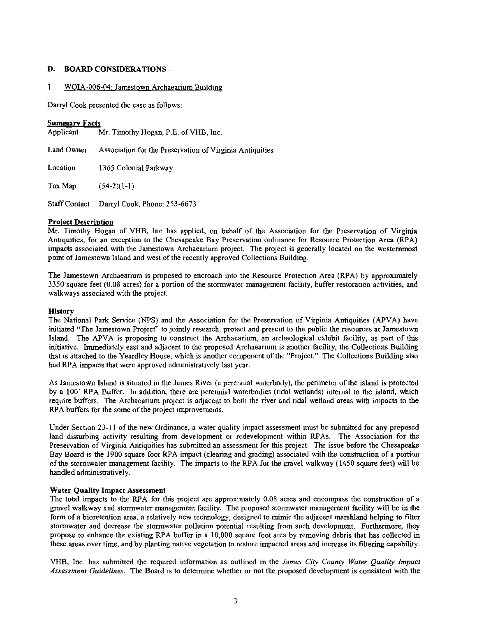# D. BOARD CONSIDERATIONS -

# 1. WQIA-006-04: Jamestown Archaearium Building

Darryl Cook presented the case as follows:

# **Summary Facts**<br>Applicant

Mr. Timothy Hogan, P.E. of VHB, Inc.

Land Owner Association for the Preservation of Virginia Antiquities

Location 1365 Colonial Parkway

Tax Map  $(54-2)(1-1)$ 

Staff Contact Darryl Cook, Phone: 253-6673

# Project Description

Mr. Timothy Hogan of VHB, lnc has applied, on behalf of the Association for the Preservation of Virginia Antiquities, for an exception to the Chesapeake Bay Preservation ordinance for Resource Protection Area (RPA) impacts associated with the Jamestown Archaearium project. The project is generally located on the westernmost point of Jamestown Island and west of the recently approved Collections Building.

The Jamestown Archaearium is proposed to encroach into the Resource Protection Area (RPA) by approximately 3350 square feet (0.08 acres) for a portion of the stormwater management facilily, buffer restoration activities, and walkways associated with the project.

#### History

The National Park Service (NPS) and the Association for the Preservation of Virginia Antiquities (APVA) have initiated "The Jamestown Project" to jointly research, protect and present to the public the resources at Jamestown Island. The APVA is proposing to construct the Archaearium an archeological exhibit facility, as part of this initiative. Immediately east and adjacent to the proposed Archaearium is another facility, the Collections Building that is attached to the Yeardley House, which is another coinponent of the "Project." The Collections Building also had RPA impacts that were approved administratively last year.

As Jamestown Island is situated in the James River (a perennial waterbody), the perimeter of the island is protected by a 100' RPA Buffer. In addition, there are perennial waterbodies (tidal wetlands) internal to the island, which require buffers. The Archaearium project is adjacent to both the river and tidal wetland areas with impacts to the RPA buffers for the some of the project improvements.

Under Section 23-11 of the new Ordinance, a water quality impact assessment must be submitted for any proposed land disturbing activity resulting from development or redevelopment within RPAs. The Association for the Preservation of Virginia Antiquities has submitted an assessment for this project. The issue before the Chesapeake Bay Board is the 1900 square foot RPA impact (clearing and grading) associated with the construction of a portion of the stormwater management facility. The impacts to the RPA for the gravel walkway (1450 square feet) will be handled administratively.

# Water Quality Impact Assessment

The total impacts to the RPA for this project are approximately 0.08 acres and encompass the construction of a gravel walkway and stormwater management facility. The proposed stormwater management facility will be in the form of a bioretention area, a relatively new technology, designed to mimic the adjacent marshland helping to filter stormwater and decrease the stormwater pollution potential resulting from such development. Furthermore, they propose to enhance the existing RPA buffer in a 10,000 square foot area by removing debris that has collected in these areas over time, and by planting native vegetation to restore impacted areas and increase its filtering capability.

VHB, Inc. has submitted the required information as outlined in the *James City County Water Quality Impact Assessment Guidelines.* The Board is to determine whether or not the proposed development is consistent with the